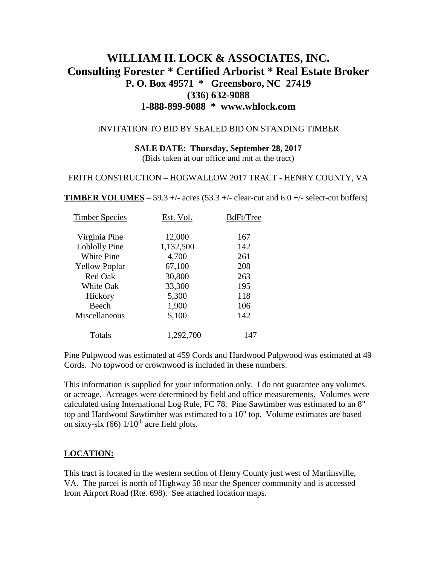# **WILLIAM H. LOCK & ASSOCIATES, INC. Consulting Forester \* Certified Arborist \* Real Estate Broker P. O. Box 49571 \* Greensboro, NC 27419 (336) 632-9088 1-888-899-9088 \* www.whlock.com**

#### INVITATION TO BID BY SEALED BID ON STANDING TIMBER

## **SALE DATE: Thursday, September 28, 2017**

(Bids taken at our office and not at the tract)

#### FRITH CONSTRUCTION – HOGWALLOW 2017 TRACT - HENRY COUNTY, VA

**TIMBER VOLUMES** – 59.3 +/- acres (53.3 +/- clear-cut and 6.0 +/- select-cut buffers)

| <b>Timber Species</b> | Est. Vol. | BdFt/Tree |
|-----------------------|-----------|-----------|
| Virginia Pine         | 12,000    | 167       |
| Loblolly Pine         | 1,132,500 | 142       |
| <b>White Pine</b>     | 4,700     | 261       |
| <b>Yellow Poplar</b>  | 67,100    | 208       |
| Red Oak               | 30,800    | 263       |
| <b>White Oak</b>      | 33,300    | 195       |
| Hickory               | 5,300     | 118       |
| Beech                 | 1,900     | 106       |
| Miscellaneous         | 5,100     | 142       |
| Totals                | 1,292,700 | 147       |

Pine Pulpwood was estimated at 459 Cords and Hardwood Pulpwood was estimated at 49 Cords. No topwood or crownwood is included in these numbers.

This information is supplied for your information only. I do not guarantee any volumes or acreage. Acreages were determined by field and office measurements. Volumes were calculated using International Log Rule, FC 78. Pine Sawtimber was estimated to an 8" top and Hardwood Sawtimber was estimated to a 10" top. Volume estimates are based on sixty-six (66)  $1/10^{th}$  acre field plots.

### **LOCATION:**

This tract is located in the western section of Henry County just west of Martinsville, VA. The parcel is north of Highway 58 near the Spencer community and is accessed from Airport Road (Rte. 698). See attached location maps.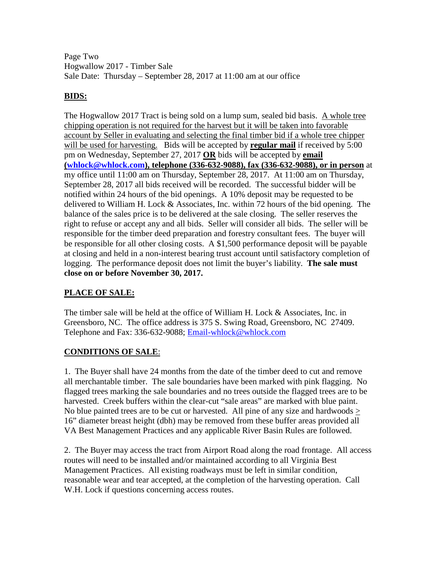Page Two Hogwallow 2017 - Timber Sale Sale Date: Thursday – September 28, 2017 at 11:00 am at our office

# **BIDS:**

The Hogwallow 2017 Tract is being sold on a lump sum, sealed bid basis. A whole tree chipping operation is not required for the harvest but it will be taken into favorable account by Seller in evaluating and selecting the final timber bid if a whole tree chipper will be used for harvesting. Bids will be accepted by **regular mail** if received by 5:00 pm on Wednesday, September 27, 2017 **OR** bids will be accepted by **email [\(whlock@whlock.com\)](mailto:whlock@whlock.com), telephone (336-632-9088), fax (336-632-9088), or in person** at my office until 11:00 am on Thursday, September 28, 2017. At 11:00 am on Thursday, September 28, 2017 all bids received will be recorded. The successful bidder will be notified within 24 hours of the bid openings. A 10% deposit may be requested to be delivered to William H. Lock & Associates, Inc. within 72 hours of the bid opening. The balance of the sales price is to be delivered at the sale closing. The seller reserves the right to refuse or accept any and all bids. Seller will consider all bids. The seller will be responsible for the timber deed preparation and forestry consultant fees. The buyer will be responsible for all other closing costs. A \$1,500 performance deposit will be payable at closing and held in a non-interest bearing trust account until satisfactory completion of logging. The performance deposit does not limit the buyer's liability. **The sale must close on or before November 30, 2017.**

# **PLACE OF SALE:**

The timber sale will be held at the office of William H. Lock & Associates, Inc. in Greensboro, NC. The office address is 375 S. Swing Road, Greensboro, NC 27409. Telephone and Fax: 336-632-9088; [Email-whlock@whlock.com](mailto:Email-whlock@whlock.com)

# **CONDITIONS OF SALE**:

1. The Buyer shall have 24 months from the date of the timber deed to cut and remove all merchantable timber. The sale boundaries have been marked with pink flagging. No flagged trees marking the sale boundaries and no trees outside the flagged trees are to be harvested. Creek buffers within the clear-cut "sale areas" are marked with blue paint. No blue painted trees are to be cut or harvested. All pine of any size and hardwoods > 16" diameter breast height (dbh) may be removed from these buffer areas provided all VA Best Management Practices and any applicable River Basin Rules are followed.

2. The Buyer may access the tract from Airport Road along the road frontage. All access routes will need to be installed and/or maintained according to all Virginia Best Management Practices. All existing roadways must be left in similar condition, reasonable wear and tear accepted, at the completion of the harvesting operation. Call W.H. Lock if questions concerning access routes.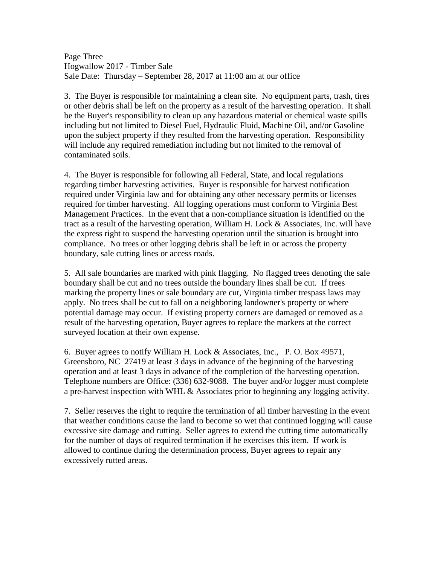Page Three Hogwallow 2017 - Timber Sale Sale Date: Thursday – September 28, 2017 at 11:00 am at our office

3. The Buyer is responsible for maintaining a clean site. No equipment parts, trash, tires or other debris shall be left on the property as a result of the harvesting operation. It shall be the Buyer's responsibility to clean up any hazardous material or chemical waste spills including but not limited to Diesel Fuel, Hydraulic Fluid, Machine Oil, and/or Gasoline upon the subject property if they resulted from the harvesting operation. Responsibility will include any required remediation including but not limited to the removal of contaminated soils.

4. The Buyer is responsible for following all Federal, State, and local regulations regarding timber harvesting activities. Buyer is responsible for harvest notification required under Virginia law and for obtaining any other necessary permits or licenses required for timber harvesting. All logging operations must conform to Virginia Best Management Practices. In the event that a non-compliance situation is identified on the tract as a result of the harvesting operation, William H. Lock & Associates, Inc. will have the express right to suspend the harvesting operation until the situation is brought into compliance. No trees or other logging debris shall be left in or across the property boundary, sale cutting lines or access roads.

5. All sale boundaries are marked with pink flagging. No flagged trees denoting the sale boundary shall be cut and no trees outside the boundary lines shall be cut. If trees marking the property lines or sale boundary are cut, Virginia timber trespass laws may apply. No trees shall be cut to fall on a neighboring landowner's property or where potential damage may occur. If existing property corners are damaged or removed as a result of the harvesting operation, Buyer agrees to replace the markers at the correct surveyed location at their own expense.

6. Buyer agrees to notify William H. Lock & Associates, Inc., P. O. Box 49571, Greensboro, NC 27419 at least 3 days in advance of the beginning of the harvesting operation and at least 3 days in advance of the completion of the harvesting operation. Telephone numbers are Office: (336) 632-9088. The buyer and/or logger must complete a pre-harvest inspection with WHL & Associates prior to beginning any logging activity.

7. Seller reserves the right to require the termination of all timber harvesting in the event that weather conditions cause the land to become so wet that continued logging will cause excessive site damage and rutting. Seller agrees to extend the cutting time automatically for the number of days of required termination if he exercises this item. If work is allowed to continue during the determination process, Buyer agrees to repair any excessively rutted areas.